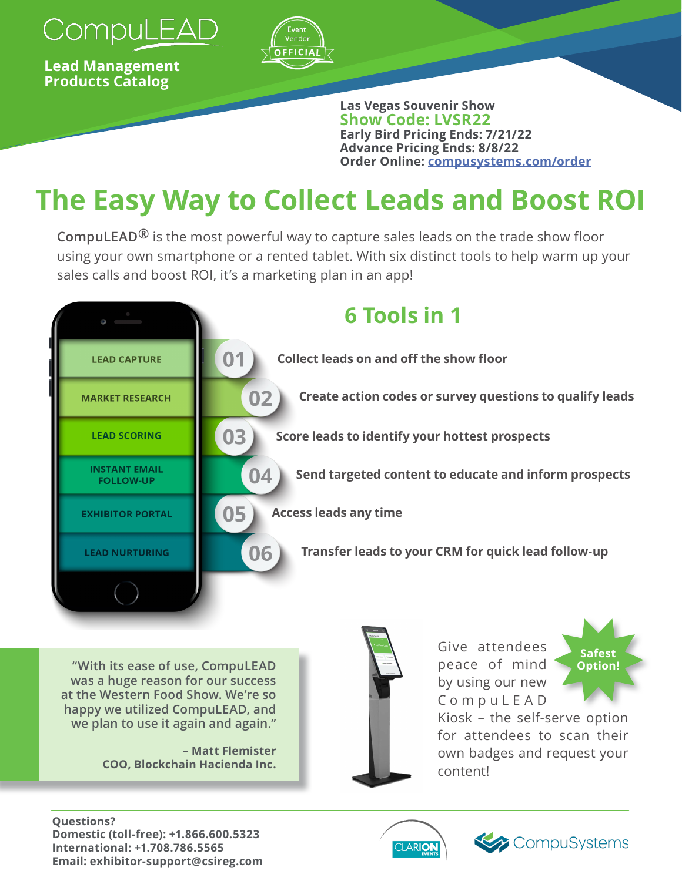

**Lead Management Products Catalog** 



**Las Vegas Souvenir Show Show Code: LVSR22 Early Bird Pricing Ends: 7/21/22 Advance Pricing Ends: 8/8/22 Order Online: [compusystems.com/order](https://www.compusystems.com/order/?e=LVSR22)**

# **The Easy Way to Collect Leads and Boost ROI**

**CompuLEAD®** is the most powerful way to capture sales leads on the trade show floor using your own smartphone or a rented tablet. With six distinct tools to help warm up your sales calls and boost ROI, it's a marketing plan in an app!



**"With its ease of use, CompuLEAD was a huge reason for our success at the Western Food Show. We're so happy we utilized CompuLEAD, and we plan to use it again and again."**

> **– Matt Flemister COO, Blockchain Hacienda Inc.**



Give attendees peace of mind by using our new C o m p u L E A D



Kiosk – the self-serve option for attendees to scan their own badges and request your content!

#### **Questions? Domestic (toll-free): +1.866.600.5323 International: +1.708.786.5565 Email: exhibitor-support@csireg.com**